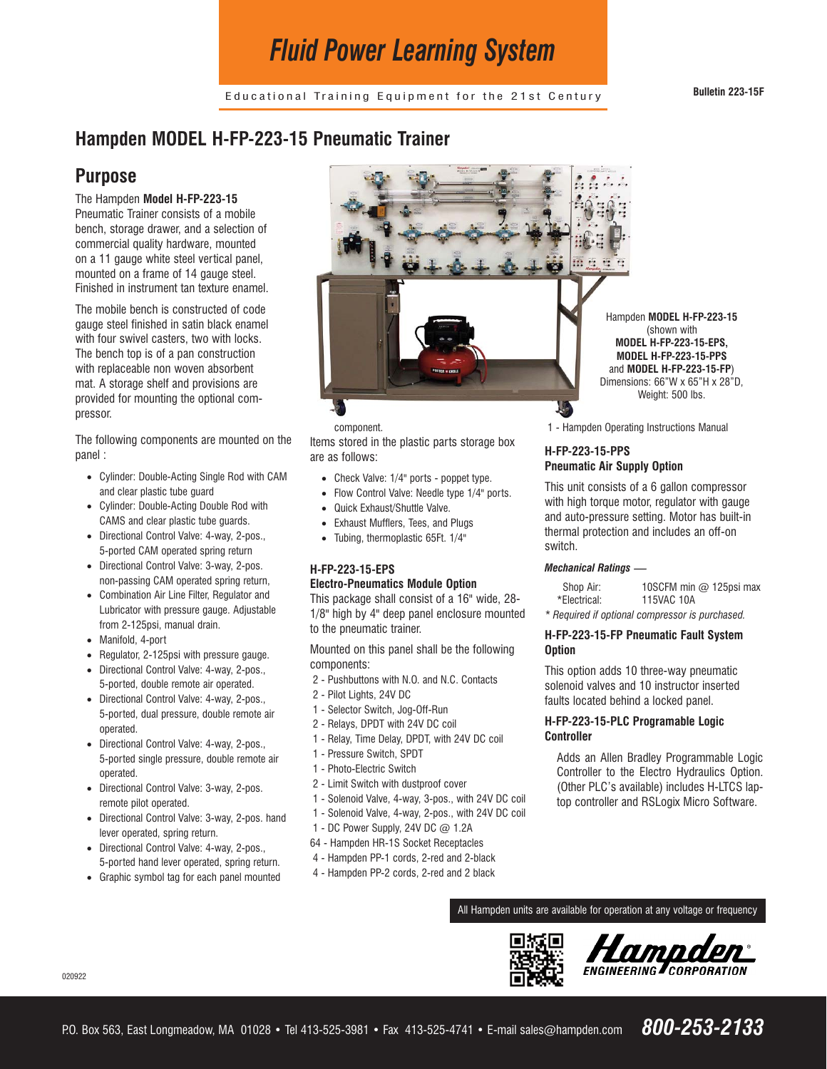# *Fluid Power Learning System*

Educational Training Equipment for the 21st Century **Bulletin 223-15F**

## **Hampden MODEL H-FP-223-15 Pneumatic Trainer**

### **Purpose**

The Hampden **Model H-FP-223-15** Pneumatic Trainer consists of a mobile bench, storage drawer, and a selection of commercial quality hardware, mounted on a 11 gauge white steel vertical panel, mounted on a frame of 14 gauge steel. Finished in instrument tan texture enamel.

The mobile bench is constructed of code gauge steel finished in satin black enamel with four swivel casters, two with locks. The bench top is of a pan construction with replaceable non woven absorbent mat. A storage shelf and provisions are provided for mounting the optional compressor.

The following components are mounted on the panel :

- · Cylinder: Double-Acting Single Rod with CAM and clear plastic tube guard
- · Cylinder: Double-Acting Double Rod with CAMS and clear plastic tube guards.
- · Directional Control Valve: 4-way, 2-pos., 5-ported CAM operated spring return
- · Directional Control Valve: 3-way, 2-pos. non-passing CAM operated spring return,
- · Combination Air Line Filter, Regulator and Lubricator with pressure gauge. Adjustable from 2-125psi, manual drain.
- · Manifold, 4-port
- · Regulator, 2-125psi with pressure gauge.
- Directional Control Valve: 4-way, 2-pos., 5-ported, double remote air operated.
- · Directional Control Valve: 4-way, 2-pos., 5-ported, dual pressure, double remote air operated.
- · Directional Control Valve: 4-way, 2-pos., 5-ported single pressure, double remote air operated.
- · Directional Control Valve: 3-way, 2-pos. remote pilot operated.
- · Directional Control Valve: 3-way, 2-pos. hand lever operated, spring return.
- · Directional Control Valve: 4-way, 2-pos., 5-ported hand lever operated, spring return.
- · Graphic symbol tag for each panel mounted



component.

Items stored in the plastic parts storage box are as follows:

- · Check Valve: 1/4" ports poppet type.
- · Flow Control Valve: Needle type 1/4" ports.
- · Quick Exhaust/Shuttle Valve.
- Exhaust Mufflers, Tees, and Plugs
- · Tubing, thermoplastic 65Ft. 1/4"

#### **H-FP-223-15-EPS Electro-Pneumatics Module Option**

This package shall consist of a 16" wide, 28- 1/8" high by 4" deep panel enclosure mounted to the pneumatic trainer.

Mounted on this panel shall be the following components:

- 2 Pushbuttons with N.O. and N.C. Contacts
- 2 Pilot Lights, 24V DC
- 1 Selector Switch, Jog-Off-Run
- 2 Relays, DPDT with 24V DC coil
- 1 Relay, Time Delay, DPDT, with 24V DC coil
- 1 Pressure Switch, SPDT
- 1 Photo-Electric Switch
- 2 Limit Switch with dustproof cover
- 1 Solenoid Valve, 4-way, 3-pos., with 24V DC coil
- 1 Solenoid Valve, 4-way, 2-pos., with 24V DC coil
- 1 DC Power Supply, 24V DC @ 1.2A
- 64 Hampden HR-1S Socket Receptacles
- 4 Hampden PP-1 cords, 2-red and 2-black
- 4 Hampden PP-2 cords, 2-red and 2 black

(shown with **MODEL H-FP-223-15-EPS, MODEL H-FP-223-15-PPS**  and **MODEL H-FP-223-15-FP**) Dimensions: 66"W x 65"H x 28"D, Weight: 500 lbs.

1 - Hampden Operating Instructions Manual

#### **H-FP-223-15-PPS Pneumatic Air Supply Option**

This unit consists of a 6 gallon compressor with high torque motor, regulator with gauge and auto-pressure setting. Motor has built-in thermal protection and includes an off-on switch.

#### *Mechanical Ratings* —

Shop Air: 10SCFM min @ 125psi max<br>\*Electrical: 115VAC 10A 115VAC 10A

*\* Required if optional compressor is purchased.* 

#### **H-FP-223-15-FP Pneumatic Fault System Option**

This option adds 10 three-way pneumatic solenoid valves and 10 instructor inserted faults located behind a locked panel.

#### **H-FP-223-15-PLC Programable Logic Controller**

Adds an Allen Bradley Programmable Logic Controller to the Electro Hydraulics Option. (Other PLC's available) includes H-LTCS laptop controller and RSLogix Micro Software.

All Hampden units are available for operation at any voltage or frequency